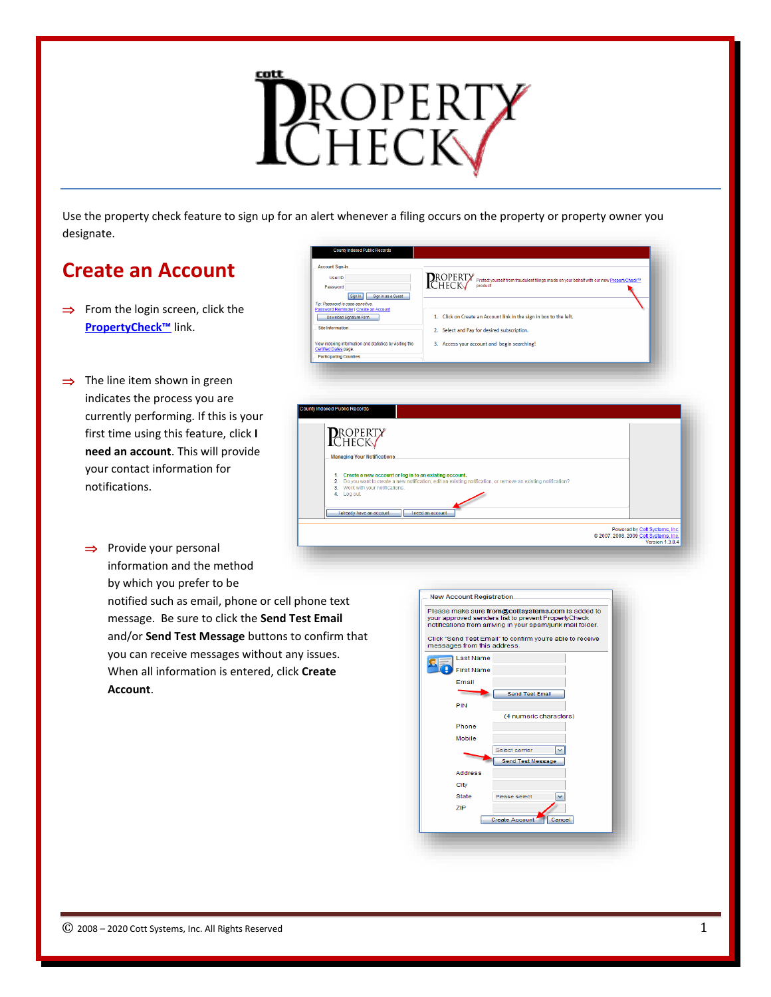

Use the property check feature to sign up for an alert whenever a filing occurs on the property or property owner you designate.

> Sign In Sign in as a Guest vord is case-sensitive.<br>Reminder | Create an Account

count Sign-In

User ID Password

Download Signature Form Site Information

View indexing information and statistics by visiting the<br>Certified Dates page.<br>. Participating Counties

**PROPERTY Managing Your Notifications** 

laiready have an account left an account

# **Create an Account**

- $\Rightarrow$  From the login screen, click the **PropertyCheck™** link.
- $\Rightarrow$  The line item shown in green indicates the process you are currently performing. If this is your first time using this feature, click **I need an account**. This will provide your contact information for notifications.
	- $\Rightarrow$  Provide your personal information and the method

by which you prefer to be notified such as email, phone or cell phone text message. Be sure to click the **Send Test Email** and/or **Send Test Message** buttons to confirm that you can receive messages without any issues. When all information is entered, click **Create Account**.



Powered by <u>Cott Systems, Inc.</u><br>© 2007, 2008, 2009 Cott Systems, Inc.<br>Version 1.3.8.4

ROPERTY protect yourself from fraudulent filings made on your behalf with our new Proper

1. Click on Create an Account link in the sign in box to the left.

2. Select and Pay for desired subscription.

Create a new account or log in to an existing account.<br>Do you want to create a new notification, edit an existing notification, or remove an existing notification?<br>Work with your notifications.<br>Log out.

3. Access your account and begin searching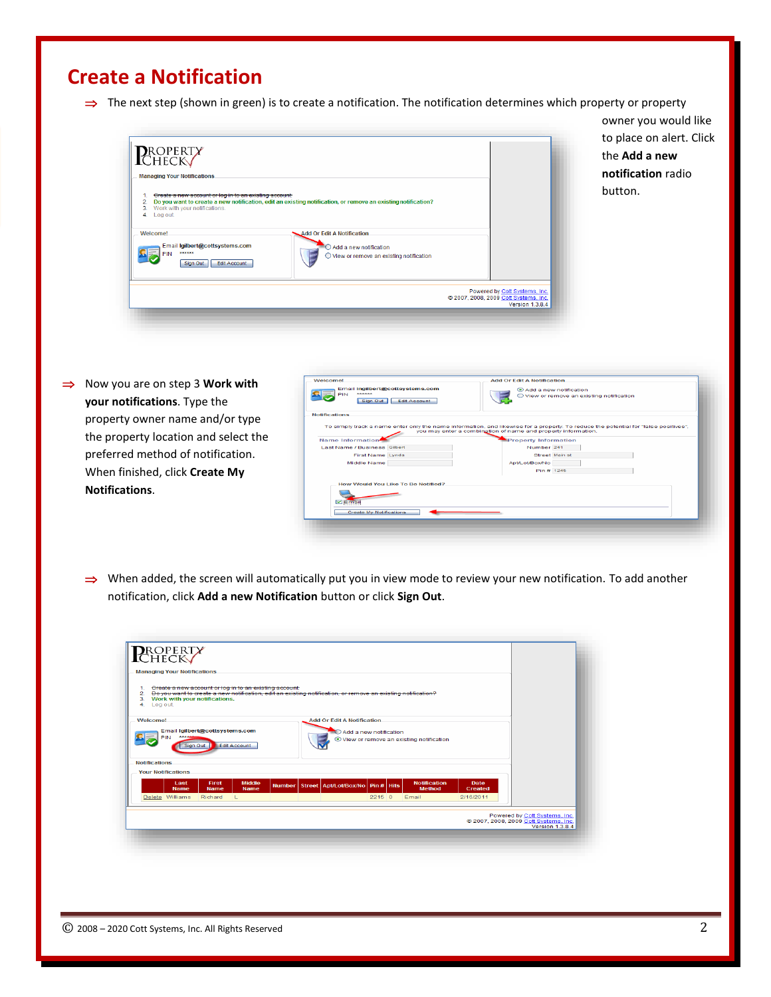## **Create a Notification**

 $\Rightarrow$  The next step (shown in green) is to create a notification. The notification determines which property or property



owner you would like to place on alert. Click the **Add a new notification** radio button.

**⇒** Now you are on step 3 **Work with your notifications**. Type the property owner name and/or type the property location and select the preferred method of notification. When finished, click **Create My Notifications**.

| Welcomet<br>******<br><b>PIN</b><br>Sign Out | Email Ingilbert@cottsystems.com<br><b>Edit Account</b> | <b>Add Or Edit A Notification</b><br>Add a new notification<br>O View or remove an existing notification                            |  |
|----------------------------------------------|--------------------------------------------------------|-------------------------------------------------------------------------------------------------------------------------------------|--|
| <b>Notifications</b>                         |                                                        | To simply track a name enter only the name information, and likewise for a property. To reduce the potential for "false positives". |  |
|                                              |                                                        | you may enter a combination of name and property information.                                                                       |  |
| Name Information                             |                                                        | <b>Property Information</b>                                                                                                         |  |
| Last Name / Business Gilbert                 |                                                        | Number 241                                                                                                                          |  |
| First Name Lynda                             |                                                        | Street Main st                                                                                                                      |  |
| <b>Middle Name</b>                           |                                                        | <b>Apt/Lot/Box/No</b>                                                                                                               |  |
|                                              |                                                        | Pin # 1245                                                                                                                          |  |
|                                              | How Would You Like To Be Notified?                     |                                                                                                                                     |  |
| $\nu$ Email                                  |                                                        |                                                                                                                                     |  |
| <b>Create My Notifications</b>               |                                                        |                                                                                                                                     |  |
|                                              |                                                        |                                                                                                                                     |  |

 $\Rightarrow$  When added, the screen will automatically put you in view mode to review your new notification. To add another notification, click **Add a new Notification** button or click **Sign Out**.

| 4. Log out.          |                                          | Greate a new account or log in to an existing account: |                                                                                                       | Do you want to create a new notification, edit an existing notification, or remove an existing notification? |                                   |                                                                                                      |                                                      |
|----------------------|------------------------------------------|--------------------------------------------------------|-------------------------------------------------------------------------------------------------------|--------------------------------------------------------------------------------------------------------------|-----------------------------------|------------------------------------------------------------------------------------------------------|------------------------------------------------------|
|                      |                                          |                                                        |                                                                                                       |                                                                                                              |                                   |                                                                                                      |                                                      |
| <b>PIN</b>           |                                          |                                                        |                                                                                                       |                                                                                                              |                                   |                                                                                                      |                                                      |
| <b>Notifications</b> |                                          |                                                        |                                                                                                       |                                                                                                              |                                   |                                                                                                      |                                                      |
| Last                 | First                                    | <b>Middle</b>                                          |                                                                                                       |                                                                                                              | <b>Notification</b>               | Date                                                                                                 |                                                      |
| Delete Williams      | Richard                                  | $\perp$                                                |                                                                                                       |                                                                                                              | Email                             | 2/16/2011                                                                                            |                                                      |
|                      | <b>Your Notifications</b><br><b>Name</b> | Sign Out<br><b>Name</b>                                | Work with your notifications.<br>Email Igilbert@cottsystems.com<br><b>Edit Account</b><br><b>Name</b> |                                                                                                              | <b>Add Or Edit A Notification</b> | Add a new notification<br>Number Street   Apt/Lot/Box/No   Pin #   Hits<br><b>Method</b><br>$2215$ 0 | ⊙ View or remove an existing notification<br>Created |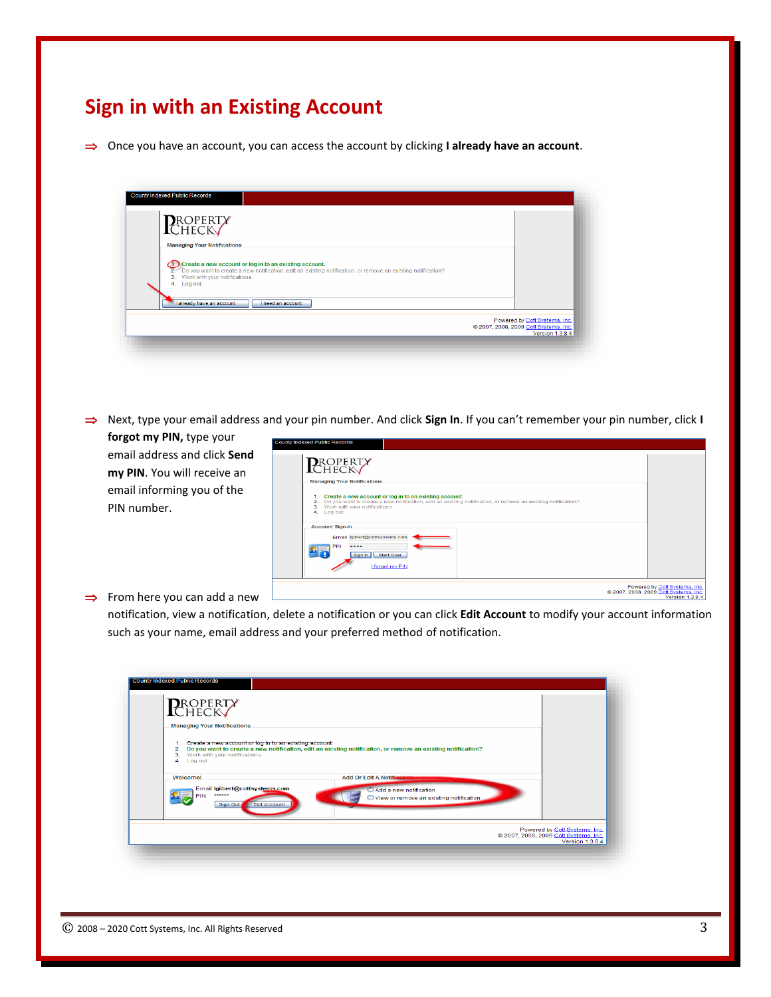# **Sign in with an Existing Account**

⇒ Once you have an account, you can access the account by clicking **I already have an account**.

| County Indexed Public Records                                                                                                                                                                                                   |                                                                                                  |
|---------------------------------------------------------------------------------------------------------------------------------------------------------------------------------------------------------------------------------|--------------------------------------------------------------------------------------------------|
| <b>P</b> roperty<br>Check                                                                                                                                                                                                       |                                                                                                  |
| <b>Managing Your Notifications</b>                                                                                                                                                                                              |                                                                                                  |
| 1. Create a new account or log in to an existing account.<br>2. Do you want to create a new notification, edit an existing notification, or remove an existing notification?<br>3. Work with your notifications.<br>4. Log out. |                                                                                                  |
| I already have an account<br><b>I</b> need an account                                                                                                                                                                           |                                                                                                  |
|                                                                                                                                                                                                                                 | Powered by Cott Systems, Inc.<br>@ 2007, 2008, 2009 Cott Systems, Inc.<br><b>Version 1.3.8.4</b> |
|                                                                                                                                                                                                                                 |                                                                                                  |

⇒ Next, type your email address and your pin number. And click Sign In. If you can't remember your pin number, click I **forgot my PIN,** type your

email address and click **Send my PIN**. You will receive an email informing you of the PIN number.

| ounty Indexed Public Records                                                                                                                                                                                                                |                                                  |
|---------------------------------------------------------------------------------------------------------------------------------------------------------------------------------------------------------------------------------------------|--------------------------------------------------|
| <b>PROPERTY</b><br><b>Managing Your Notifications</b>                                                                                                                                                                                       |                                                  |
| Create a new account or log in to an existing account.<br>1.<br>Do you want to create a new notification, edit an existing notification, or remove an existing notification?<br>2.<br>Work with your notifications.<br>з.<br>Log out.<br>4. |                                                  |
| <b>Account Sign-In</b><br>Email Igilbert@cottsystems.com<br>PIN<br>----<br>Start Over<br>Sign In<br>I forgot my PIN                                                                                                                         |                                                  |
| 2007, 2008, 2009 Cott Systems, Inc.                                                                                                                                                                                                         | Powered by Cott Systems, Inc.<br>Version 1.3.8.4 |

#### $\Rightarrow$  From here you can add a new

notification, view a notification, delete a notification or you can click **Edit Account** to modify your account information such as your name, email address and your preferred method of notification.

| <b>PROPERTY</b><br><b>Managing Your Notifications</b>                                                                    |                                                                                                              |
|--------------------------------------------------------------------------------------------------------------------------|--------------------------------------------------------------------------------------------------------------|
| Greate a new account or log in to an existing account:<br>1.<br>2.<br>Work with your notifications.<br>3.<br>4. Log out. | Do you want to create a new notification, edit an existing notification, or remove an existing notification? |
| Welcome!<br>Email Igilbert@cottsystems.com<br>******<br><b>Edit Account</b><br>Sign Out                                  | <b>Add Or Edit A Notified</b><br>Add a new notification<br>O View or remove an existing notification         |
|                                                                                                                          | Powered by Cott Systems, Inc.<br>2007, 2008, 2009 Cott Systems, Inc.                                         |